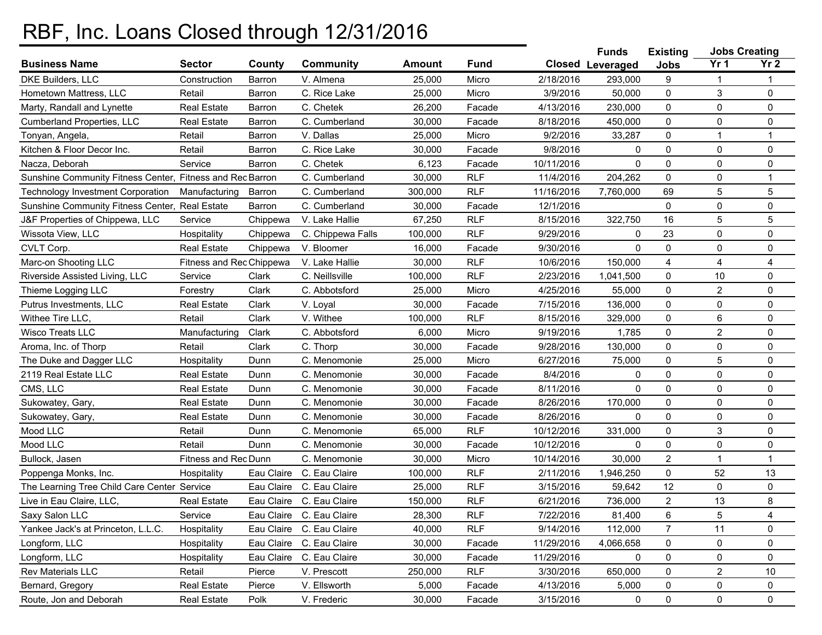## RBF, Inc. Loans Closed through 12/31/2016

|                                                           |                          |            |                          |               |             |            | <b>Funds</b><br><b>Existing</b> |                | <b>Jobs Creating</b> |                 |
|-----------------------------------------------------------|--------------------------|------------|--------------------------|---------------|-------------|------------|---------------------------------|----------------|----------------------|-----------------|
| <b>Business Name</b>                                      | <b>Sector</b>            | County     | <b>Community</b>         | <b>Amount</b> | <b>Fund</b> |            | <b>Closed Leveraged</b>         | <b>Jobs</b>    | Yr <sub>1</sub>      | Yr <sub>2</sub> |
| <b>DKE Builders, LLC</b>                                  | Construction             | Barron     | V. Almena                | 25,000        | Micro       | 2/18/2016  | 293,000                         | 9              |                      | 1               |
| Hometown Mattress, LLC                                    | Retail                   | Barron     | C. Rice Lake             | 25,000        | Micro       | 3/9/2016   | 50,000                          | 0              | 3                    | 0               |
| Marty, Randall and Lynette                                | <b>Real Estate</b>       | Barron     | C. Chetek                | 26,200        | Facade      | 4/13/2016  | 230,000                         | 0              | 0                    | 0               |
| <b>Cumberland Properties, LLC</b>                         | <b>Real Estate</b>       | Barron     | C. Cumberland            | 30,000        | Facade      | 8/18/2016  | 450,000                         | 0              | 0                    | 0               |
| Tonyan, Angela,                                           | Retail                   | Barron     | V. Dallas                | 25,000        | Micro       | 9/2/2016   | 33,287                          | $\mathbf 0$    | $\overline{1}$       | 1               |
| Kitchen & Floor Decor Inc.                                | Retail                   | Barron     | C. Rice Lake             | 30,000        | Facade      | 9/8/2016   | 0                               | 0              | 0                    | 0               |
| Nacza, Deborah                                            | Service                  | Barron     | C. Chetek                | 6,123         | Facade      | 10/11/2016 | 0                               | 0              | 0                    | 0               |
| Sunshine Community Fitness Center, Fitness and Rec Barron |                          |            | C. Cumberland            | 30,000        | <b>RLF</b>  | 11/4/2016  | 204,262                         | $\mathbf 0$    | 0                    | $\mathbf{1}$    |
| <b>Technology Investment Corporation</b>                  | Manufacturing            | Barron     | C. Cumberland            | 300,000       | <b>RLF</b>  | 11/16/2016 | 7,760,000                       | 69             | 5                    | 5               |
| Sunshine Community Fitness Center,                        | <b>Real Estate</b>       | Barron     | C. Cumberland            | 30,000        | Facade      | 12/1/2016  |                                 | 0              | 0                    | 0               |
| J&F Properties of Chippewa, LLC                           | Service                  | Chippewa   | V. Lake Hallie           | 67,250        | <b>RLF</b>  | 8/15/2016  | 322,750                         | 16             | 5                    | 5               |
| Wissota View, LLC                                         | Hospitality              | Chippewa   | C. Chippewa Falls        | 100,000       | <b>RLF</b>  | 9/29/2016  | 0                               | 23             | 0                    | 0               |
| CVLT Corp.                                                | <b>Real Estate</b>       | Chippewa   | V. Bloomer               | 16,000        | Facade      | 9/30/2016  | $\mathbf 0$                     | $\mathbf 0$    | $\mathbf 0$          | 0               |
| Marc-on Shooting LLC                                      | Fitness and Rec Chippewa |            | V. Lake Hallie           | 30,000        | <b>RLF</b>  | 10/6/2016  | 150,000                         | 4              | 4                    | 4               |
| Riverside Assisted Living, LLC                            | Service                  | Clark      | C. Neillsville           | 100,000       | <b>RLF</b>  | 2/23/2016  | 1,041,500                       | 0              | 10                   | 0               |
| Thieme Logging LLC                                        | Forestry                 | Clark      | C. Abbotsford            | 25,000        | Micro       | 4/25/2016  | 55,000                          | 0              | $\overline{2}$       | 0               |
| Putrus Investments, LLC                                   | <b>Real Estate</b>       | Clark      | V. Loyal                 | 30,000        | Facade      | 7/15/2016  | 136,000                         | 0              | 0                    | 0               |
| Withee Tire LLC,                                          | Retail                   | Clark      | V. Withee                | 100,000       | <b>RLF</b>  | 8/15/2016  | 329,000                         | 0              | 6                    | 0               |
| <b>Wisco Treats LLC</b>                                   | Manufacturing            | Clark      | C. Abbotsford            | 6,000         | Micro       | 9/19/2016  | 1,785                           | 0              | $\overline{2}$       | 0               |
| Aroma, Inc. of Thorp                                      | Retail                   | Clark      | C. Thorp                 | 30,000        | Facade      | 9/28/2016  | 130,000                         | 0              | 0                    | 0               |
| The Duke and Dagger LLC                                   | Hospitality              | Dunn       | C. Menomonie             | 25,000        | Micro       | 6/27/2016  | 75,000                          | 0              | 5                    | $\pmb{0}$       |
| 2119 Real Estate LLC                                      | <b>Real Estate</b>       | Dunn       | C. Menomonie             | 30,000        | Facade      | 8/4/2016   | 0                               | 0              | $\mathbf 0$          | 0               |
| CMS, LLC                                                  | <b>Real Estate</b>       | Dunn       | C. Menomonie             | 30,000        | Facade      | 8/11/2016  | $\mathbf 0$                     | 0              | 0                    | 0               |
| Sukowatey, Gary,                                          | <b>Real Estate</b>       | Dunn       | C. Menomonie             | 30,000        | Facade      | 8/26/2016  | 170,000                         | 0              | $\mathbf 0$          | 0               |
| Sukowatey, Gary,                                          | <b>Real Estate</b>       | Dunn       | C. Menomonie             | 30,000        | Facade      | 8/26/2016  | 0                               | 0              | 0                    | 0               |
| Mood LLC                                                  | Retail                   | Dunn       | C. Menomonie             | 65,000        | <b>RLF</b>  | 10/12/2016 | 331,000                         | 0              | 3                    | 0               |
| Mood LLC                                                  | Retail                   | Dunn       | C. Menomonie             | 30,000        | Facade      | 10/12/2016 | 0                               | $\mathbf 0$    | 0                    | 0               |
| Bullock, Jasen                                            | Fitness and Rec Dunn     |            | C. Menomonie             | 30,000        | Micro       | 10/14/2016 | 30,000                          | 2              | $\overline{1}$       | 1               |
| Poppenga Monks, Inc.                                      | Hospitality              |            | Eau Claire C. Eau Claire | 100,000       | <b>RLF</b>  | 2/11/2016  | 1,946,250                       | 0              | 52                   | 13              |
| The Learning Tree Child Care Center Service               |                          |            | Eau Claire C. Eau Claire | 25,000        | <b>RLF</b>  | 3/15/2016  | 59,642                          | 12             | 0                    | 0               |
| Live in Eau Claire, LLC,                                  | <b>Real Estate</b>       |            | Eau Claire C. Eau Claire | 150,000       | <b>RLF</b>  | 6/21/2016  | 736,000                         | $\overline{a}$ | 13                   | 8               |
| Saxy Salon LLC                                            | Service                  |            | Eau Claire C. Eau Claire | 28,300        | <b>RLF</b>  | 7/22/2016  | 81,400                          | 6              | $\mathbf 5$          | 4               |
| Yankee Jack's at Princeton, L.L.C.                        | Hospitality              | Eau Claire | C. Eau Claire            | 40,000        | <b>RLF</b>  | 9/14/2016  | 112,000                         | 7              | 11                   | 0               |
| Longform, LLC                                             | Hospitality              | Eau Claire | C. Eau Claire            | 30,000        | Facade      | 11/29/2016 | 4,066,658                       | 0              | 0                    | 0               |
| Longform, LLC                                             | Hospitality              |            | Eau Claire C. Eau Claire | 30,000        | Facade      | 11/29/2016 | 0                               | 0              | 0                    | 0               |
| Rev Materials LLC                                         | Retail                   | Pierce     | V. Prescott              | 250,000       | <b>RLF</b>  | 3/30/2016  | 650,000                         | 0              | $\overline{c}$       | 10              |
| Bernard, Gregory                                          | <b>Real Estate</b>       | Pierce     | V. Ellsworth             | 5,000         | Facade      | 4/13/2016  | 5,000                           | 0              | 0                    | 0               |
| Route, Jon and Deborah                                    | <b>Real Estate</b>       | Polk       | V. Frederic              | 30,000        | Facade      | 3/15/2016  | 0                               | 0              | 0                    | 0               |
|                                                           |                          |            |                          |               |             |            |                                 |                |                      |                 |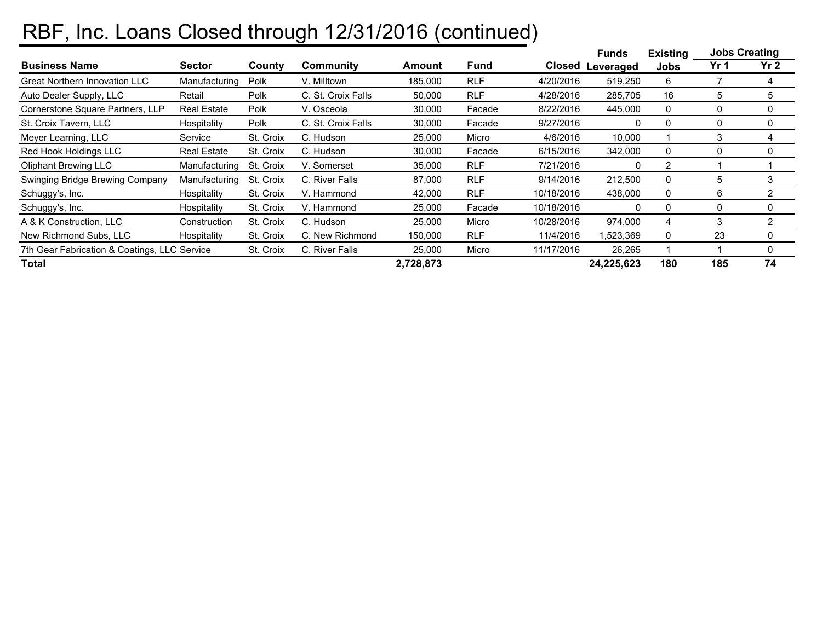## RBF, Inc. Loans Closed through 12/31/2016 (continued)

|                                              |                    |           |                    |           |             |            | <b>Funds</b> | <b>Existing</b> | <b>Jobs Creating</b> |          |
|----------------------------------------------|--------------------|-----------|--------------------|-----------|-------------|------------|--------------|-----------------|----------------------|----------|
| <b>Business Name</b>                         | Sector             | County    | Community          | Amount    | <b>Fund</b> | Closed     | Leveraged    | <b>Jobs</b>     | Yr 1                 | Yr 2     |
| <b>Great Northern Innovation LLC</b>         | Manufacturing      | Polk      | V. Milltown        | 185,000   | <b>RLF</b>  | 4/20/2016  | 519,250      | 6               |                      | 4        |
| Auto Dealer Supply, LLC                      | Retail             | Polk      | C. St. Croix Falls | 50,000    | <b>RLF</b>  | 4/28/2016  | 285,705      | 16              | 5                    | 5        |
| Cornerstone Square Partners, LLP             | <b>Real Estate</b> | Polk      | V. Osceola         | 30,000    | Facade      | 8/22/2016  | 445,000      | 0               | 0                    | 0        |
| St. Croix Tavern, LLC                        | Hospitality        | Polk      | C. St. Croix Falls | 30,000    | Facade      | 9/27/2016  | 0            | 0               | 0                    | 0        |
| Meyer Learning, LLC                          | Service            | St. Croix | C. Hudson          | 25,000    | Micro       | 4/6/2016   | 10,000       |                 | 3                    | 4        |
| Red Hook Holdings LLC                        | <b>Real Estate</b> | St. Croix | C. Hudson          | 30,000    | Facade      | 6/15/2016  | 342,000      | 0               | 0                    | 0        |
| <b>Oliphant Brewing LLC</b>                  | Manufacturing      | St. Croix | V. Somerset        | 35,000    | <b>RLF</b>  | 7/21/2016  | 0            | 2               |                      |          |
| Swinging Bridge Brewing Company              | Manufacturing      | St. Croix | C. River Falls     | 87,000    | <b>RLF</b>  | 9/14/2016  | 212,500      | 0               | 5                    | 3        |
| Schuggy's, Inc.                              | Hospitality        | St. Croix | V. Hammond         | 42,000    | <b>RLF</b>  | 10/18/2016 | 438,000      | 0               | 6                    | 2        |
| Schuggy's, Inc.                              | Hospitality        | St. Croix | V. Hammond         | 25,000    | Facade      | 10/18/2016 | 0            | 0               | 0                    | 0        |
| A & K Construction, LLC                      | Construction       | St. Croix | C. Hudson          | 25,000    | Micro       | 10/28/2016 | 974,000      | 4               | 3                    | 2        |
| New Richmond Subs, LLC                       | Hospitality        | St. Croix | C. New Richmond    | 150,000   | <b>RLF</b>  | 11/4/2016  | 1,523,369    | 0               | 23                   | 0        |
| 7th Gear Fabrication & Coatings, LLC Service |                    | St. Croix | C. River Falls     | 25,000    | Micro       | 11/17/2016 | 26,265       |                 |                      | $\Omega$ |
| <b>Total</b>                                 |                    |           |                    | 2,728,873 |             |            | 24,225,623   | 180             | 185                  | 74       |